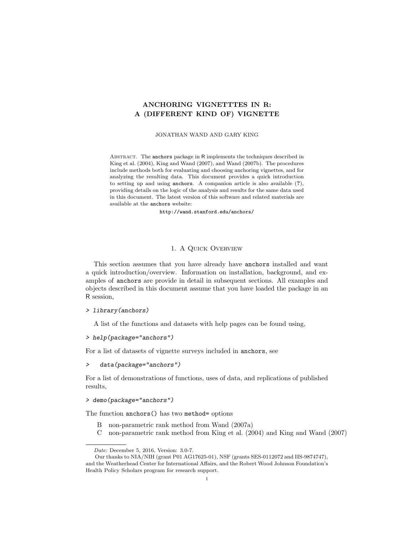# ANCHORING VIGNETTTES IN R: A (DIFFERENT KIND OF) VIGNETTE

#### JONATHAN WAND AND GARY KING

ABSTRACT. The anchors package in R implements the techniques described in King et al. (2004), King and Wand (2007), and Wand (2007b). The procedures include methods both for evaluating and choosing anchoring vignettes, and for analyzing the resulting data. This document provides a quick introduction to setting up and using anchors. A companion article is also available (?), providing details on the logic of the analysis and results for the same data used in this document. The latest version of this software and related materials are available at the anchors website:

http://wand.stanford.edu/anchors/

## 1. A Quick Overview

This section assumes that you have already have anchors installed and want a quick introduction/overview. Information on installation, background, and examples of anchors are provide in detail in subsequent sections. All examples and objects described in this document assume that you have loaded the package in an R session,

## > library(anchors)

A list of the functions and datasets with help pages can be found using,

## > help(package="anchors")

For a list of datasets of vignette surveys included in anchors, see

## > data(package="anchors")

For a list of demonstrations of functions, uses of data, and replications of published results,

## > demo(package="anchors")

The function anchors() has two method= options

- B non-parametric rank method from Wand (2007a)
- C non-parametric rank method from King et al. (2004) and King and Wand (2007)

Date: December 5, 2016, Version: 3.0-7.

Our thanks to NIA/NIH (grant P01 AG17625-01), NSF (grants SES-0112072 and IIS-9874747), and the Weatherhead Center for International Affairs, and the Robert Wood Johnson Foundation's Health Policy Scholars program for research support.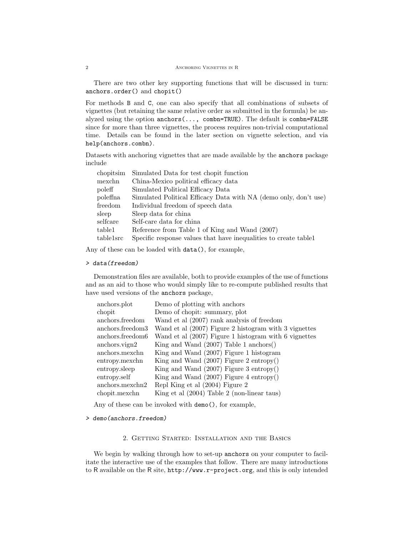There are two other key supporting functions that will be discussed in turn: anchors.order() and chopit()

For methods B and C, one can also specify that all combinations of subsets of vignettes (but retaining the same relative order as submitted in the formula) be analyzed using the option  $anchors(..., comb = TRUE)$ . The default is  $combn = FALSE$ since for more than three vignettes, the process requires non-trivial computational time. Details can be found in the later section on vignette selection, and via help(anchors.combn).

Datasets with anchoring vignettes that are made available by the anchors package include

| chopitsim | Simulated Data for test chopit function                          |
|-----------|------------------------------------------------------------------|
| mexchn    | China-Mexico political efficacy data                             |
| poleff    | Simulated Political Efficacy Data                                |
| poleffna  | Simulated Political Efficacy Data with NA (demo only, don't use) |
| freedom   | Individual freedom of speech data                                |
| sleep     | Sleep data for china                                             |
| selfcare  | Self-care data for china                                         |
| table1    | Reference from Table 1 of King and Wand (2007)                   |
| table1src | Specific response values that have inequalities to create table  |

Any of these can be loaded with data(), for example,

#### > data(freedom)

Demonstration files are available, both to provide examples of the use of functions and as an aid to those who would simply like to re-compute published results that have used versions of the anchors package,

| anchors.plot     | Demo of plotting with anchors                           |
|------------------|---------------------------------------------------------|
| chopit           | Demo of chopit: summary, plot                           |
| anchors.freedom  | Wand et al (2007) rank analysis of freedom              |
| anchors.freedom3 | Wand et al (2007) Figure 2 histogram with 3 vignettes   |
| anchors.freedom6 | Wand et al $(2007)$ Figure 1 histogram with 6 vignettes |
| anchors.vign2    | King and Wand $(2007)$ Table 1 anchors $()$             |
| anchors.mexchn   | King and Wand (2007) Figure 1 histogram                 |
| entropy.mexchn   | King and Wand $(2007)$ Figure 2 entropy $()$            |
| entropy.sleep    | King and Wand $(2007)$ Figure 3 entropy $()$            |
| entropy.self     | King and Wand $(2007)$ Figure 4 entropy $()$            |
| anchors.mexchn2  | Repl King et al (2004) Figure 2                         |
| chopit.mexchn    | King et al $(2004)$ Table 2 (non-linear taus)           |
|                  |                                                         |

Any of these can be invoked with demo(), for example,

### > demo(anchors.freedom)

## 2. Getting Started: Installation and the Basics

We begin by walking through how to set-up anchors on your computer to facilitate the interactive use of the examples that follow. There are many introductions to R available on the R site, http://www.r-project.org, and this is only intended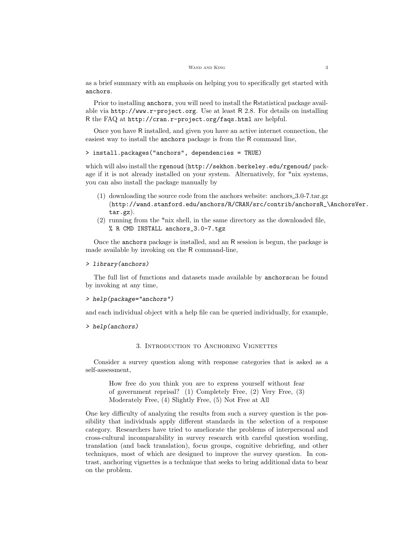as a brief summary with an emphasis on helping you to specifically get started with anchors.

Prior to installing anchors, you will need to install the Rstatistical package available via http://www.r-project.org. Use at least R 2.8. For details on installing R the FAQ at http://cran.r-project.org/faqs.html are helpful.

Once you have R installed, and given you have an active internet connection, the easiest way to install the anchors package is from the R command line,

## > install.packages("anchors", dependencies = TRUE)

which will also install the rgenoud (http://sekhon.berkeley.edu/rgenoud/ package if it is not already installed on your system. Alternatively, for \*nix systems, you can also install the package manually by

- (1) downloading the source code from the anchors website: anchors 3.0-7.tar.gz (http://wand.stanford.edu/anchors/R/CRAN/src/contrib/anchorsR\_\AnchorsVer. tar.gz).
- (2) running from the \*nix shell, in the same directory as the downloaded file, % R CMD INSTALL anchors\_3.0-7.tgz

Once the anchors package is installed, and an R session is begun, the package is made available by invoking on the R command-line,

## > library(anchors)

The full list of functions and datasets made available by anchorscan be found by invoking at any time,

```
> help(package="anchors")
```
and each individual object with a help file can be queried individually, for example,

> help(anchors)

## 3. Introduction to Anchoring Vignettes

Consider a survey question along with response categories that is asked as a self-assessment,

How free do you think you are to express yourself without fear of government reprisal? (1) Completely Free, (2) Very Free, (3) Moderately Free, (4) Slightly Free, (5) Not Free at All

One key difficulty of analyzing the results from such a survey question is the possibility that individuals apply different standards in the selection of a response category. Researchers have tried to ameliorate the problems of interpersonal and cross-cultural incomparability in survey research with careful question wording, translation (and back translation), focus groups, cognitive debriefing, and other techniques, most of which are designed to improve the survey question. In contrast, anchoring vignettes is a technique that seeks to bring additional data to bear on the problem.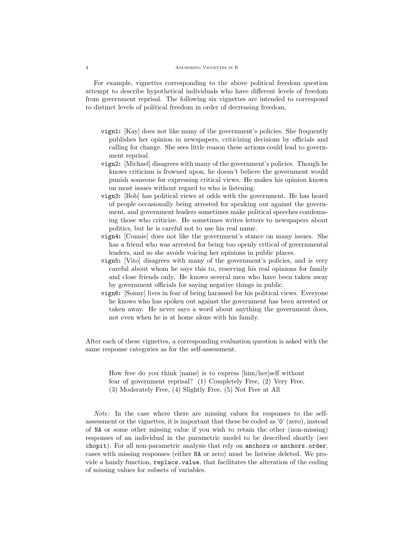#### 4 Anchoring Vignettes in R

For example, vignettes corresponding to the above political freedom question attempt to describe hypothetical individuals who have different levels of freedom from government reprisal. The following six vignettes are intended to correspond to distinct levels of political freedom in order of decreasing freedom,

- vign1: [Kay] does not like many of the government's policies. She frequently publishes her opinion in newspapers, criticizing decisions by officials and calling for change. She sees little reason these actions could lead to government reprisal.
- vign2: [Michael] disagrees with many of the government's policies. Though he knows criticism is frowned upon, he doesn't believe the government would punish someone for expressing critical views. He makes his opinion known on most issues without regard to who is listening.
- vign3: [Bob] has political views at odds with the government. He has heard of people occasionally being arrested for speaking out against the government, and government leaders sometimes make political speeches condemning those who criticize. He sometimes writes letters to newspapers about politics, but he is careful not to use his real name.
- vign4: [Connie] does not like the government's stance on many issues. She has a friend who was arrested for being too openly critical of governmental leaders, and so she avoids voicing her opinions in public places.
- vign5: [Vito] disagrees with many of the government's policies, and is very careful about whom he says this to, reserving his real opinions for family and close friends only. He knows several men who have been taken away by government officials for saying negative things in public.
- vign6: [Sonny] lives in fear of being harassed for his political views. Everyone he knows who has spoken out against the government has been arrested or taken away. He never says a word about anything the government does, not even when he is at home alone with his family.

After each of these vignettes, a corresponding evaluation question is asked with the same response categories as for the self-assessment.

How free do you think [name] is to express [him/her]self without fear of government reprisal? (1) Completely Free, (2) Very Free, (3) Moderately Free, (4) Slightly Free, (5) Not Free at All

Note: In the case where there are missing values for responses to the selfassessment or the vignettes, it is important that these be coded as '0' (zero), instead of NA or some other missing value if you wish to retain the other (non-missing) responses of an individual in the parametric model to be described shortly (see chopit). For all non-parametric analysis that rely on anchors or anchors.order, cases with missing responses (either NA or zero) must be listwise deleted. We provide a handy function, replace.value, that facilitates the alteration of the coding of missing values for subsets of variables.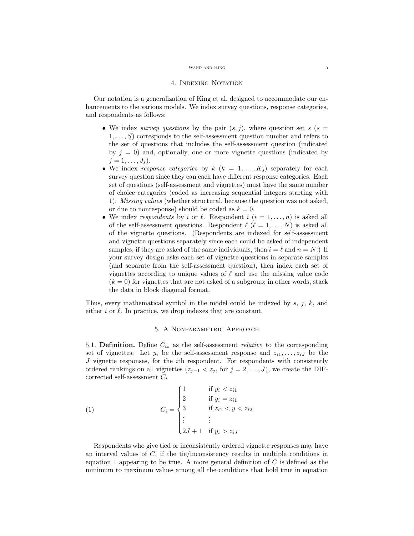#### $\,$  Wand and King  $\,$  5  $\,$

### 4. Indexing Notation

Our notation is a generalization of King et al. designed to accommodate our enhancements to the various models. We index survey questions, response categories, and respondents as follows:

- We index survey questions by the pair  $(s, j)$ , where question set s (s  $1, \ldots, S$  corresponds to the self-assessment question number and refers to the set of questions that includes the self-assessment question (indicated by  $j = 0$ ) and, optionally, one or more vignette questions (indicated by  $j=1,\ldots,J_s$ ).
- We index response categories by  $k$   $(k = 1, ..., K_s)$  separately for each survey question since they can each have different response categories. Each set of questions (self-assessment and vignettes) must have the same number of choice categories (coded as increasing sequential integers starting with 1). Missing values (whether structural, because the question was not asked, or due to nonresponse) should be coded as  $k = 0$ .
- We index respondents by i or  $\ell$ . Respondent  $i$   $(i = 1, \ldots, n)$  is asked all of the self-assessment questions. Respondent  $\ell$  ( $\ell = 1, ..., N$ ) is asked all of the vignette questions. (Respondents are indexed for self-assessment and vignette questions separately since each could be asked of independent samples; if they are asked of the same individuals, then  $i = \ell$  and  $n = N$ .) If your survey design asks each set of vignette questions in separate samples (and separate from the self-assessment question), then index each set of vignettes according to unique values of  $\ell$  and use the missing value code  $(k = 0)$  for vignettes that are not asked of a subgroup; in other words, stack the data in block diagonal format.

Thus, every mathematical symbol in the model could be indexed by  $s, j, k$ , and either  $i$  or  $\ell$ . In practice, we drop indexes that are constant.

## 5. A Nonparametric Approach

5.1. **Definition.** Define  $C_{is}$  as the self-assessment *relative* to the corresponding set of vignettes. Let  $y_i$  be the self-assessment response and  $z_{i1}, \ldots, z_{iJ}$  be the J vignette responses, for the ith respondent. For respondents with consistently ordered rankings on all vignettes  $(z_{j-1} < z_j$ , for  $j = 2, \ldots, J$ , we create the DIFcorrected self-assessment  $C_i$ 

(1) 
$$
C_{i} = \begin{cases} 1 & \text{if } y_{i} < z_{i1} \\ 2 & \text{if } y_{i} = z_{i1} \\ 3 & \text{if } z_{i1} < y < z_{i2} \\ \vdots & \vdots \\ 2J+1 & \text{if } y_{i} > z_{iJ} \end{cases}
$$

Respondents who give tied or inconsistently ordered vignette responses may have an interval values of  $C$ , if the tie/inconsistency results in multiple conditions in equation 1 appearing to be true. A more general definition of  $C$  is defined as the minimum to maximum values among all the conditions that hold true in equation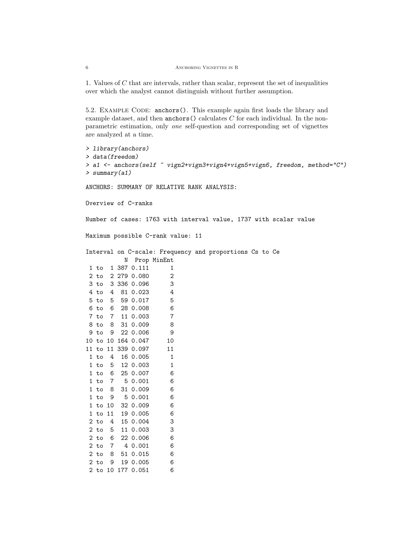1. Values of C that are intervals, rather than scalar, represent the set of inequalities over which the analyst cannot distinguish without further assumption.

5.2. Example Code: anchors(). This example again first loads the library and example dataset, and then  $\text{anchors}$  () calculates C for each individual. In the nonparametric estimation, only one self-question and corresponding set of vignettes are analyzed at a time.

```
> library(anchors)
> data(freedom)
> a1 <- anchors(self ~ vign2+vign3+vign4+vign5+vign6, freedom, method="C")
> summary(a1)
ANCHORS: SUMMARY OF RELATIVE RANK ANALYSIS:
Overview of C-ranks
Number of cases: 1763 with interval value, 1737 with scalar value
Maximum possible C-rank value: 11
Interval on C-scale: Frequency and proportions Cs to Ce
         N Prop MinEnt
1 to 1 387 0.111 1
2 to 2 279 0.080 2
3 to 3 336 0.096 3
4 to 4 81 0.023 4
5 to 5 59 0.017 5
6 to 6 28 0.008 6
7 to 7 11 0.003 7
8 to 8 31 0.009 8
9 to 9 22 0.006 9
10 to 10 164 0.047 10
11 to 11 339 0.097 11
1 to 4 16 0.005 1
1 to 5 12 0.003 1
1 to 6 25 0.007 6
1 to 7 5 0.001 6
1 to 8 31 0.009 6
1 to 9 5 0.001 6
1 to 10 32 0.009 6
1 to 11 19 0.005 6
2 to 4 15 0.004 3
2 to 5 11 0.003 3
2 to 6 22 0.006 6
2 to 7 4 0.001 6
2 to 8 51 0.015 6
2 to 9 19 0.005 6
2 to 10 177 0.051 6
```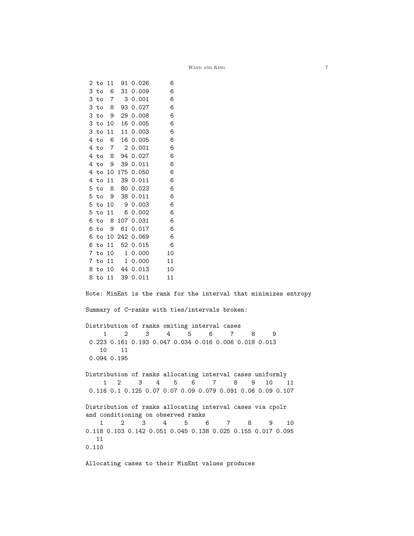|                                                                            |                 |                | 2 to 11 91 0.026                   | 6                                  |                                                                  |
|----------------------------------------------------------------------------|-----------------|----------------|------------------------------------|------------------------------------|------------------------------------------------------------------|
| 3 to                                                                       | - 6             |                | 31 0.009                           | 6                                  |                                                                  |
| 3 to                                                                       | $\overline{7}$  |                | 3 0.001                            | 6                                  |                                                                  |
| 3 to                                                                       | - 8             |                | 93 0.027                           | 6                                  |                                                                  |
|                                                                            |                 |                | 3 to 9 29 0.008                    | 6                                  |                                                                  |
| 3 to 10                                                                    |                 |                | 16 0.005                           | 6                                  |                                                                  |
| 3 to 11                                                                    |                 |                | 11 0.003                           | 6                                  |                                                                  |
| 4 to                                                                       | - 6             |                | 16 0.005                           | 6                                  |                                                                  |
|                                                                            |                 |                | 4 to 7 2 0.001                     | 6                                  |                                                                  |
| 4 to 8                                                                     |                 |                | 94 0.027                           | 6                                  |                                                                  |
|                                                                            |                 |                | 4 to 9 39 0.011                    | 6                                  |                                                                  |
|                                                                            |                 |                | 4 to 10 175 0.050                  | 6                                  |                                                                  |
|                                                                            |                 |                | 4 to 11 39 0.011                   | 6                                  |                                                                  |
| 5 to                                                                       |                 |                | 8 80 0.023                         | 6                                  |                                                                  |
|                                                                            |                 |                | 5 to 9 38 0.011                    | 6                                  |                                                                  |
| 5 to 10                                                                    |                 |                | 9 0.003                            | 6                                  |                                                                  |
| $5$ to $11$                                                                |                 |                | 6 0.002                            | 6                                  |                                                                  |
| 6 to                                                                       |                 |                | 8 107 0.031                        | - 6                                |                                                                  |
| 6 to                                                                       |                 |                | 9 61 0.017                         | - 6                                |                                                                  |
|                                                                            |                 |                | 6 to 10 242 0.069                  | - 6                                |                                                                  |
|                                                                            |                 |                | 6 to 11 52 0.015                   | - 6                                |                                                                  |
|                                                                            |                 |                |                                    | 10                                 |                                                                  |
|                                                                            |                 |                | 7 to 10 1 0.000<br>7 to 11 1 0.000 | 11                                 |                                                                  |
|                                                                            |                 |                | 8 to 10 44 0.013                   | 10                                 |                                                                  |
|                                                                            |                 |                | 8 to 11 39 0.011                   | 11                                 |                                                                  |
|                                                                            |                 |                |                                    |                                    |                                                                  |
|                                                                            |                 |                |                                    |                                    | Note: MinEnt is the rank for the interval that minimizes entropy |
|                                                                            |                 |                |                                    |                                    |                                                                  |
|                                                                            |                 |                |                                    |                                    | Summary of C-ranks with ties/intervals broken:                   |
|                                                                            |                 |                |                                    |                                    |                                                                  |
|                                                                            |                 |                |                                    |                                    | Distribution of ranks omiting interval cases                     |
|                                                                            | 1               | 2              | 3                                  | 4                                  | 6<br>5<br>$\mathbf 7$<br>8<br>9                                  |
|                                                                            |                 |                |                                    |                                    | 0.223 0.161 0.193 0.047 0.034 0.016 0.006 0.018 0.013            |
| 10                                                                         |                 | 11             |                                    |                                    |                                                                  |
| $0.094$ $0.195$                                                            |                 |                |                                    |                                    |                                                                  |
|                                                                            |                 |                |                                    |                                    |                                                                  |
|                                                                            |                 |                |                                    |                                    | Distribution of ranks allocating interval cases uniformly        |
|                                                                            | $1\overline{ }$ | 2              | 3                                  | 4<br>5                             | 6<br>7<br>8<br>9<br>10<br>11                                     |
|                                                                            |                 |                |                                    |                                    | 0.116 0.1 0.125 0.07 0.07 0.09 0.079 0.091 0.06 0.09 0.107       |
|                                                                            |                 |                |                                    |                                    |                                                                  |
| Distribution of ranks allocating interval cases via cpolr                  |                 |                |                                    |                                    |                                                                  |
|                                                                            |                 |                |                                    | and conditioning on observed ranks |                                                                  |
| 1                                                                          |                 | $\overline{2}$ |                                    | $4\degree$                         | 5 <sub>5</sub><br>6<br>7<br>8<br>10<br>9                         |
| $3^{\circ}$<br>0.118 0.103 0.142 0.051 0.045 0.138 0.025 0.155 0.017 0.095 |                 |                |                                    |                                    |                                                                  |
| 11                                                                         |                 |                |                                    |                                    |                                                                  |
| 0.110                                                                      |                 |                |                                    |                                    |                                                                  |
|                                                                            |                 |                |                                    |                                    |                                                                  |

Allocating cases to their MinEnt values produces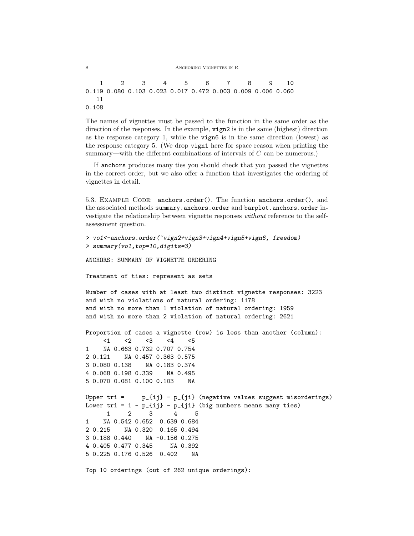8 ANCHORING VIGNETTES IN R

1 2 3 4 5 6 7 8 9 10 0.119 0.080 0.103 0.023 0.017 0.472 0.003 0.009 0.006 0.060 11 0.108

The names of vignettes must be passed to the function in the same order as the direction of the responses. In the example, vign2 is in the same (highest) direction as the response category 1, while the vign6 is in the same direction (lowest) as the response category 5. (We drop vign1 here for space reason when printing the summary—with the different combinations of intervals of C can be numerous.)

If anchors produces many ties you should check that you passed the vignettes in the correct order, but we also offer a function that investigates the ordering of vignettes in detail.

5.3. EXAMPLE CODE: anchors.order(). The function anchors.order(), and the associated methods summary.anchors.order and barplot.anchors.order investigate the relationship between vignette responses without reference to the selfassessment question.

```
> vo1<-anchors.order(~vign2+vign3+vign4+vign5+vign6, freedom)
> summary(vo1,top=10,digits=3)
ANCHORS: SUMMARY OF VIGNETTE ORDERING
Treatment of ties: represent as sets
Number of cases with at least two distinct vignette responses: 3223
and with no violations of natural ordering: 1178
and with no more than 1 violation of natural ordering: 1959
and with no more than 2 violation of natural ordering: 2621
Proportion of cases a vignette (row) is less than another (column):
     \langle 1 \rangle \langle 2 \rangle \langle 3 \rangle \langle 4 \rangle \langle 5 \rangle1 NA 0.663 0.732 0.707 0.754
2 0.121 NA 0.457 0.363 0.575
3 0.080 0.138 NA 0.183 0.374
4 0.068 0.198 0.339 NA 0.495
5 0.070 0.081 0.100 0.103 NA
Upper tri = p_{i} = p_{i} = p_{i} = p_{i} (negative values suggest misorderings)
Lower tri = 1 - p_{i}j - p_{j}j (big numbers means many ties)
      1 2 3 4 5
1 NA 0.542 0.652 0.639 0.684
2 0.215 NA 0.320 0.165 0.494
3 0.188 0.440 NA -0.156 0.275
4 0.405 0.477 0.345 NA 0.392
5 0.225 0.176 0.526 0.402 NA
Top 10 orderings (out of 262 unique orderings):
```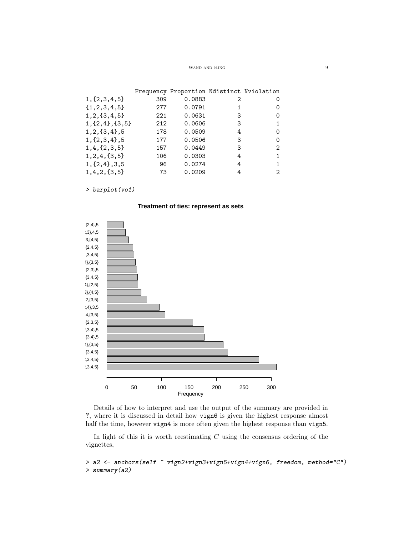#### WAND AND KING  $\hfill 9$

|                     |     | Frequency Proportion Ndistinct Nviolation |   |          |
|---------------------|-----|-------------------------------------------|---|----------|
| $1,\{2,3,4,5\}$     | 309 | 0.0883                                    | 2 | 0        |
| ${1, 2, 3, 4, 5}$   | 277 | 0.0791                                    | 1 | $\Omega$ |
| $1, 2, {3, 4, 5}$   | 221 | 0.0631                                    | 3 | 0        |
| $1, {2, 4}, {3, 5}$ | 212 | 0.0606                                    | 3 |          |
| $1, 2, {3, 4}$ , 5  | 178 | 0.0509                                    | 4 | 0        |
| $1, \{2, 3, 4\}, 5$ | 177 | 0.0506                                    | 3 | 0        |
| $1, 4, {2, 3, 5}$   | 157 | 0.0449                                    | 3 | 2        |
| $1, 2, 4, {3, 5}$   | 106 | 0.0303                                    | 4 |          |
| $1, {2, 4}, 3, 5$   | 96  | 0.0274                                    | 4 |          |
| 1, 4, 2, 3, 5       | 73  | 0.0209                                    | 4 | 2        |

> barplot(vo1)

## **Treatment of ties: represent as sets**



Details of how to interpret and use the output of the summary are provided in ?, where it is discussed in detail how vign6 is given the highest response almost half the time, however vign4 is more often given the highest response than vign5.

In light of this it is worth reestimating  $C$  using the consensus ordering of the vignettes,

> a2 <- anchors(self ~ vign2+vign3+vign5+vign4+vign6, freedom, method="C") > summary(a2)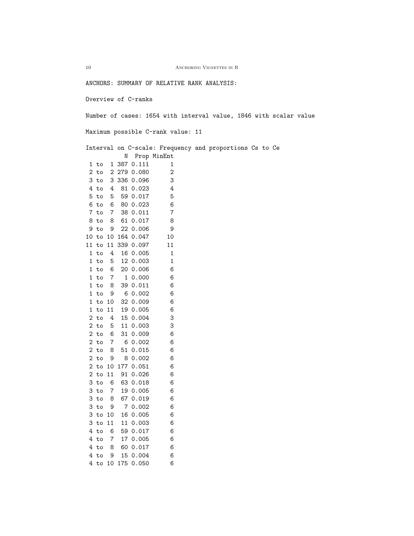$10$   $\,$  Anchoring Vignettes in R  $\,$ ANCHORS: SUMMARY OF RELATIVE RANK ANALYSIS: Overview of C-ranks Number of cases: 1654 with interval value, 1846 with scalar value Maximum possible C-rank value: 11 Interval on C-scale: Frequency and proportions Cs to Ce N Prop MinEnt 1 to 1 387 0.111 1 2 to 2 279 0.080 2 3 to 3 336 0.096 3 4 to 4 81 0.023 4 5 to 5 59 0.017 5 6 to 6 80 0.023 6 7 to 7 38 0.011 7 8 to 8 61 0.017 8 9 to 9 22 0.006 9 10 to 10 164 0.047 10 11 to 11 339 0.097 11 1 to 4 16 0.005 1 1 to 5 12 0.003 1 1 to 6 20 0.006 6 1 to 7 1 0.000 6 1 to 8 39 0.011 6 1 to 9 6 0.002 6 1 to 10 32 0.009 6 1 to 11 19 0.005 6 2 to 4 15 0.004 3 2 to 5 11 0.003 3 2 to 6 31 0.009 6 2 to 7 6 0.002 6 2 to 8 51 0.015 6 2 to 9 8 0.002 6 2 to 10 177 0.051 6 2 to 11 91 0.026 6 3 to 6 63 0.018 6 3 to 7 19 0.005 6 3 to 8 67 0.019 6 3 to 9 7 0.002 6 3 to 10 16 0.005 6 3 to 11 11 0.003 6 4 to 6 59 0.017 6 4 to 7 17 0.005 6 4 to 8 60 0.017 6 4 to 9 15 0.004 6 4 to 10 175 0.050 6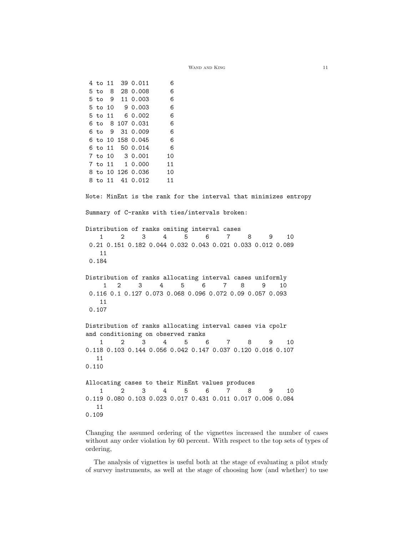4 to 11 39 0.011 6 5 to 8 28 0.008 6 5 to 9 11 0.003 6 5 to 10 9 0.003 6 5 to 11 6 0.002 6 6 to 8 107 0.031 6 6 to 9 31 0.009 6 6 to 10 158 0.045 6 6 to 11 50 0.014 6 7 to 10 3 0.001 10 7 to 11 1 0.000 11 8 to 10 126 0.036 10 8 to 11 41 0.012 11 Note: MinEnt is the rank for the interval that minimizes entropy Summary of C-ranks with ties/intervals broken: Distribution of ranks omiting interval cases 1 2 3 4 5 6 7 8 9 10 0.21 0.151 0.182 0.044 0.032 0.043 0.021 0.033 0.012 0.089 11 0.184 Distribution of ranks allocating interval cases uniformly 1 2 3 4 5 6 7 8 9 10 0.116 0.1 0.127 0.073 0.068 0.096 0.072 0.09 0.057 0.093 11 0.107 Distribution of ranks allocating interval cases via cpolr and conditioning on observed ranks 1 2 3 4 5 6 7 8 9 10 0.118 0.103 0.144 0.056 0.042 0.147 0.037 0.120 0.016 0.107 11 0.110 Allocating cases to their MinEnt values produces 1 2 3 4 5 6 7 8 9 10 0.119 0.080 0.103 0.023 0.017 0.431 0.011 0.017 0.006 0.084 11 0.109

Changing the assumed ordering of the vignettes increased the number of cases without any order violation by 60 percent. With respect to the top sets of types of ordering,

The analysis of vignettes is useful both at the stage of evaluating a pilot study of survey instruments, as well at the stage of choosing how (and whether) to use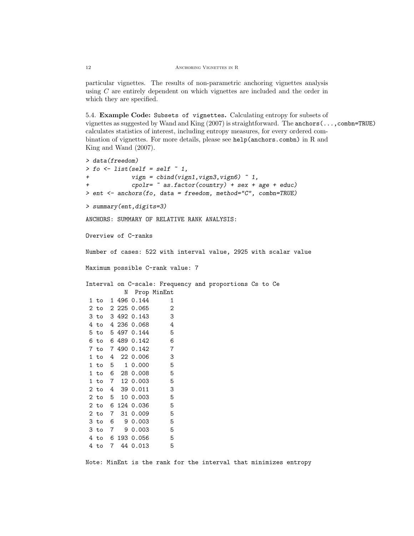particular vignettes. The results of non-parametric anchoring vignettes analysis using C are entirely dependent on which vignettes are included and the order in which they are specified.

5.4. Example Code: Subsets of vignettes. Calculating entropy for subsets of vignettes as suggested by Wand and King  $(2007)$  is straightforward. The anchors (..., combn=TRUE) calculates statistics of interest, including entropy measures, for every ordered combination of vignettes. For more details, please see help(anchors.combn) in R and King and Wand (2007).

```
> data(freedom)
> fo \le list(self = self \degree 1,
+ vign = cbind(vign1,vign3,vign6) ~ 1,
            \text{cpolyr} = \text{``as.factor}(\text{country}) + \text{sex} + \text{age} + \text{educ})> ent <- anchors(fo, data = freedom, method="C", combn=TRUE)
> summary(ent,digits=3)
ANCHORS: SUMMARY OF RELATIVE RANK ANALYSIS:
Overview of C-ranks
Number of cases: 522 with interval value, 2925 with scalar value
Maximum possible C-rank value: 7
Interval on C-scale: Frequency and proportions Cs to Ce
          N Prop MinEnt
1 to 1 496 0.144 1
2 to 2 225 0.065 2
3 to 3 492 0.143 3
4 to 4 236 0.068 4
5 to 5 497 0.144 5
6 to 6 489 0.142 6
7 to 7 490 0.142 7
1 to 4 22 0.006 3
1 to 5 1 0.000 5
1 to 6 28 0.008 5
1 to 7 12 0.003 5
2 to 4 39 0.011 3
2 to 5 10 0.003 5
2 to 6 124 0.036 5
2 to 7 31 0.009 5
3 to 6 9 0.003 5
3 to 7 9 0.003 5
4 to 6 193 0.056 5
4 to 7 44 0.013 5
```
Note: MinEnt is the rank for the interval that minimizes entropy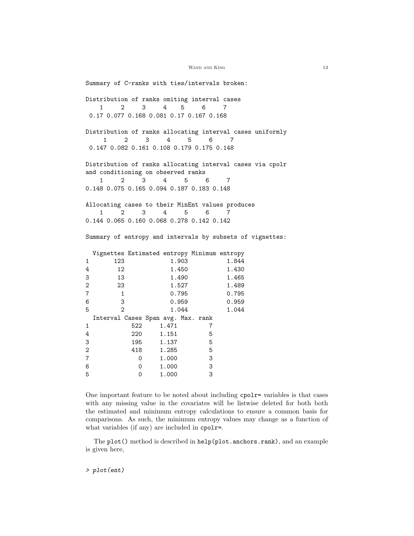Summary of C-ranks with ties/intervals broken: Distribution of ranks omiting interval cases 1 2 3 4 5 6 7 0.17 0.077 0.168 0.081 0.17 0.167 0.168 Distribution of ranks allocating interval cases uniformly 1 2 3 4 5 6 7 0.147 0.082 0.161 0.108 0.179 0.175 0.148 Distribution of ranks allocating interval cases via cpolr and conditioning on observed ranks 1 2 3 4 5 6 7 0.148 0.075 0.165 0.094 0.187 0.183 0.148 Allocating cases to their MinEnt values produces 1 2 3 4 5 6 7 0.144 0.065 0.160 0.068 0.278 0.142 0.142 Summary of entropy and intervals by subsets of vignettes: Vignettes Estimated entropy Minimum entropy 1 123 1.903 1.844 4 12 1.450 1.430 3 13 1.490 1.465 2 23 1.527 1.489 7 1 0.795 0.795 6 3 0.959 0.959 5 2 1.044 1.044 Interval Cases Span avg. Max. rank 1 522 1.471 7 4 220 1.151 5 3 195 1.137 5 2 418 1.285 5 7 0 1.000 3 6 0 1.000 3 5 0 1.000 3

One important feature to be noted about including cpolr= variables is that cases with any missing value in the covariates will be listwise deleted for both both the estimated and minimum entropy calculations to ensure a common basis for comparisons. As such, the minimum entropy values may change as a function of what variables (if any) are included in cpolr=.

The plot() method is described in help(plot.anchors.rank), and an example is given here,

> plot(ent)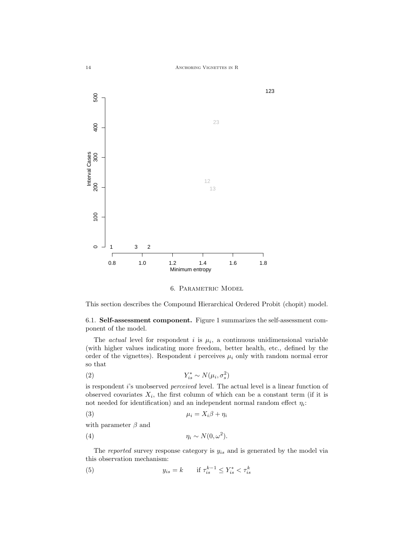

6. Parametric Model

This section describes the Compound Hierarchical Ordered Probit (chopit) model.

6.1. Self-assessment component. Figure 1 summarizes the self-assessment component of the model.

The *actual* level for respondent i is  $\mu_i$ , a continuous unidimensional variable (with higher values indicating more freedom, better health, etc., defined by the order of the vignettes). Respondent i perceives  $\mu_i$  only with random normal error so that

$$
(2) \t\t Y_{is}^* \sim N(\mu_i, \sigma_s^2)
$$

is respondent i's unobserved *perceived* level. The actual level is a linear function of observed covariates  $X_i$ , the first column of which can be a constant term (if it is not needed for identification) and an independent normal random effect  $\eta_i$ :

$$
\mu_i = X_i \beta + \eta_i
$$

with parameter  $\beta$  and

$$
(4) \t\t \eta_i \sim N(0, \omega^2).
$$

The *reported* survey response category is  $y_{is}$  and is generated by the model via this observation mechanism:

(5) 
$$
y_{is} = k \quad \text{if } \tau_{is}^{k-1} \le Y_{is}^* < \tau_{is}^k
$$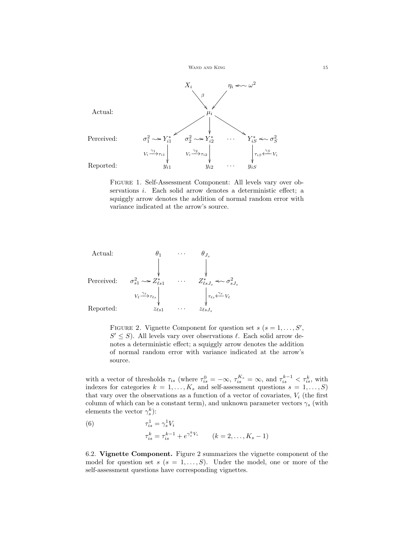



Figure 1. Self-Assessment Component: All levels vary over observations i. Each solid arrow denotes a deterministic effect; a squiggly arrow denotes the addition of normal random error with variance indicated at the arrow's source.



FIGURE 2. Vignette Component for question set  $s$  ( $s = 1, \ldots, S'$ ,  $S' \leq S$ ). All levels vary over observations  $\ell$ . Each solid arrow denotes a deterministic effect; a squiggly arrow denotes the addition of normal random error with variance indicated at the arrow's source.

with a vector of thresholds  $\tau_{is}$  (where  $\tau_{is}^0 = -\infty$ ,  $\tau_{is}^{K_s} = \infty$ , and  $\tau_{is}^{k-1} < \tau_{is}^k$ , with indexes for categories  $k = 1, ..., K_s$  and self-assessment questions  $s = 1, ..., S$ ) that vary over the observations as a function of a vector of covariates,  $V_i$  (the first column of which can be a constant term), and unknown parameter vectors  $\gamma_s$  (with elements the vector  $\gamma_s^k$ ):

(6) 
$$
\tau_{is}^{1} = \gamma_{s}^{1} V_{i}
$$

$$
\tau_{is}^{k} = \tau_{is}^{k-1} + e^{\gamma_{s}^{k} V_{i}} \qquad (k = 2, ..., K_{s} - 1)
$$

6.2. Vignette Component. Figure 2 summarizes the vignette component of the model for question set  $s$  ( $s = 1, \ldots, S$ ). Under the model, one or more of the self-assessment questions have corresponding vignettes.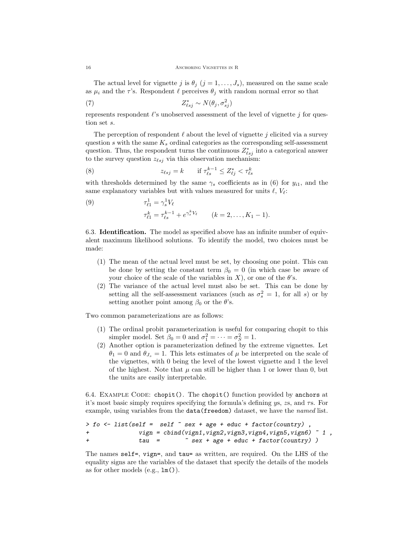The actual level for vignette j is  $\theta_i$  (j = 1, ...,  $J_s$ ), measured on the same scale as  $\mu_i$  and the  $\tau$ 's. Respondent  $\ell$  perceives  $\theta_j$  with random normal error so that

(7) 
$$
Z_{\ell sj}^* \sim N(\theta_j, \sigma_{sj}^2)
$$

represents respondent  $\ell$ 's unobserved assessment of the level of vignette j for question set s.

The perception of respondent  $\ell$  about the level of vignette j elicited via a survey question s with the same  $K_s$  ordinal categories as the corresponding self-assessment question. Thus, the respondent turns the continuous  $Z_{\ell s j}^*$  into a categorical answer to the survey question  $z_{\ell s j}$  via this observation mechanism:

(8) 
$$
z_{\ell sj} = k \quad \text{if } \tau_{\ell s}^{k-1} \leq Z_{\ell j}^* < \tau_{\ell s}^k
$$

with thresholds determined by the same  $\gamma_s$  coefficients as in (6) for  $y_{i1}$ , and the same explanatory variables but with values measured for units  $\ell$ ,  $V_{\ell}$ :

(9) 
$$
\tau_{\ell 1}^1 = \gamma_s^1 V_{\ell} \tau_{\ell 1}^k = \tau_{\ell s}^{k-1} + e^{\gamma_s^k V_{\ell}} \qquad (k = 2, ..., K_1 - 1).
$$

6.3. Identification. The model as specified above has an infinite number of equivalent maximum likelihood solutions. To identify the model, two choices must be made:

- (1) The mean of the actual level must be set, by choosing one point. This can be done by setting the constant term  $\beta_0 = 0$  (in which case be aware of your choice of the scale of the variables in X), or one of the  $\theta$ 's.
- (2) The variance of the actual level must also be set. This can be done by setting all the self-assessment variances (such as  $\sigma_s^2 = 1$ , for all s) or by setting another point among  $\beta_0$  or the  $\theta$ 's.

Two common parameterizations are as follows:

- (1) The ordinal probit parameterization is useful for comparing chopit to this simpler model. Set  $\beta_0 = 0$  and  $\sigma_1^2 = \cdots = \sigma_S^2 = 1$ .
- (2) Another option is parameterization defined by the extreme vignettes. Let  $\theta_1 = 0$  and  $\theta_{J_s} = 1$ . This lets estimates of  $\mu$  be interpreted on the scale of the vignettes, with 0 being the level of the lowest vignette and 1 the level of the highest. Note that  $\mu$  can still be higher than 1 or lower than 0, but the units are easily interpretable.

6.4. EXAMPLE CODE: chopit(). The chopit() function provided by anchors at it's most basic simply requires specifying the formula's defining  $\gamma$ s, zs, and  $\tau$ s. For example, using variables from the data(freedom) dataset, we have the *named* list.

```
> fo <- list(self = self ~ sex + age + educ + factor(country) ,
+ vign = cbind(vign1,vign2,vign3,vign4,vign5,vign6) ~ 1 ,
+ tau = ~ sex + age + educ + factor(country) )
```
The names self=, vign=, and tau= as written, are required. On the LHS of the equality signs are the variables of the dataset that specify the details of the models as for other models (e.g., lm()).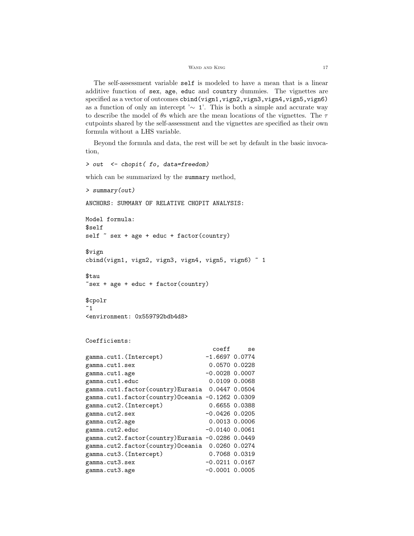The self-assessment variable self is modeled to have a mean that is a linear additive function of sex, age, educ and country dummies. The vignettes are specified as a vector of outcomes cbind(vign1,vign2,vign3,vign4,vign5,vign6) as a function of only an intercept '∼ 1'. This is both a simple and accurate way to describe the model of  $\theta$ s which are the mean locations of the vignettes. The  $\tau$ cutpoints shared by the self-assessment and the vignettes are specified as their own formula without a LHS variable.

Beyond the formula and data, the rest will be set by default in the basic invocation,

```
which can be summarized by the summary method,
> summary(out)
ANCHORS: SUMMARY OF RELATIVE CHOPIT ANALYSIS:
Model formula:
$self
self \tilde{\ } sex + age + educ + factor(country)
$vign
cbind(vign1, vign2, vign3, vign4, vign5, vign6) \degree 1
$tau
\tilde{\text{c}} sex + age + educ + factor(country)
$cpolr
~1<environment: 0x559792bdb4d8>
Coefficients:
                               coeff se
gamma.cut1.(Intercept) -1.6697 0.0774
gamma.cut1.sex 0.0570 0.0228
gamma.cut1.age -0.0028 0.0007
gamma.cut1.educ 0.0109 0.0068
gamma.cut1.factor(country)Eurasia 0.0447 0.0504
gamma.cut1.factor(country)Oceania -0.1262 0.0309
gamma.cut2.(Intercept) 0.6655 0.0388
gamma.cut2.sex -0.0426 0.0205
gamma.cut2.age 0.0013 0.0006
gamma.cut2.educ -0.0140 0.0061
gamma.cut2.factor(country)Eurasia -0.0286 0.0449
gamma.cut2.factor(country)Oceania 0.0260 0.0274
gamma.cut3.(Intercept) 0.7068 0.0319
gamma.cut3.sex -0.0211 0.0167
gamma.cut3.age -0.0001 0.0005
```
> out <- chopit( fo, data=freedom)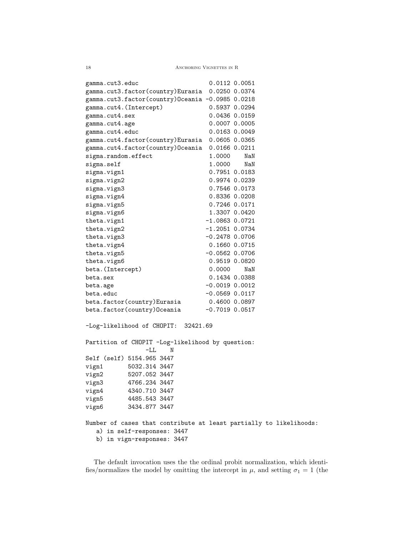$18$   $\,$   $\,$  Anchoring Vignettes in R  $\,$ 

| gamma.cut3.educ                                                    |                    | 0.0112 0.0051 |  |
|--------------------------------------------------------------------|--------------------|---------------|--|
| gamma.cut3.factor(country)Eurasia 0.0250 0.0374                    |                    |               |  |
| gamma.cut3.factor(country)Oceania -0.0985 0.0218                   |                    |               |  |
| gamma.cut4.(Intercept)                                             |                    | 0.5937 0.0294 |  |
| gamma.cut4.sex                                                     |                    | 0.0436 0.0159 |  |
| gamma.cut4.age                                                     |                    | 0.0007 0.0005 |  |
| gamma.cut4.educ                                                    |                    | 0.0163 0.0049 |  |
| gamma.cut4.factor(country)Eurasia                                  |                    | 0.0605 0.0365 |  |
| gamma.cut4.factor(country)Oceania                                  |                    | 0.0166 0.0211 |  |
| sigma.random.effect                                                | 1.0000             | NaN           |  |
| sigma.self                                                         | 1.0000             | NaN           |  |
| sigma.vign1                                                        |                    | 0.7951 0.0183 |  |
| sigma.vign2                                                        |                    | 0.9974 0.0239 |  |
| sigma.vign3                                                        |                    | 0.7546 0.0173 |  |
| sigma.vign4                                                        |                    | 0.8336 0.0208 |  |
| sigma.vign5                                                        |                    | 0.7246 0.0171 |  |
| sigma.vign6                                                        |                    | 1.3307 0.0420 |  |
| theta.vign1                                                        | $-1.0863$ 0.0721   |               |  |
| theta.vign2                                                        | $-1.2051$ 0.0734   |               |  |
| theta.vign3                                                        | $-0.2478$ 0.0706   |               |  |
| theta.vign4                                                        |                    | 0.1660 0.0715 |  |
| theta.vign5                                                        | $-0.0562$ 0.0706   |               |  |
| theta.vign6                                                        |                    | 0.9519 0.0820 |  |
| beta. (Intercept)                                                  | 0.0000             | NaN           |  |
| beta.sex                                                           |                    | 0.1434 0.0388 |  |
| beta.age                                                           | $-0.0019$ $0.0012$ |               |  |
| beta.educ                                                          | $-0.0569$ $0.0117$ |               |  |
| beta.factor(country)Eurasia                                        | 0.4600 0.0897      |               |  |
| beta.factor(country)Oceania                                        | $-0.7019$ 0.0517   |               |  |
|                                                                    |                    |               |  |
| -Log-likelihood of CHOPIT: 32421.69                                |                    |               |  |
|                                                                    |                    |               |  |
| Partition of CHOPIT -Log-likelihood by question:                   |                    |               |  |
| $-LL$<br>N                                                         |                    |               |  |
| Self (self) 5154.965 3447                                          |                    |               |  |
| 5032.314 3447<br>vign1                                             |                    |               |  |
| vign2<br>5207.052 3447                                             |                    |               |  |
| 4766.234 3447<br>vign3                                             |                    |               |  |
| 4340.710 3447<br>vign4                                             |                    |               |  |
| vign5<br>4485.543 3447                                             |                    |               |  |
| vign6<br>3434.877 3447                                             |                    |               |  |
| Number of cases that contribute at least partially to likelihoods: |                    |               |  |
| a) in self-responses: 3447                                         |                    |               |  |
| b) in vign-responses: 3447                                         |                    |               |  |
|                                                                    |                    |               |  |

The default invocation uses the the ordinal probit normalization, which identifies/normalizes the model by omitting the intercept in  $\mu$ , and setting  $\sigma_1 = 1$  (the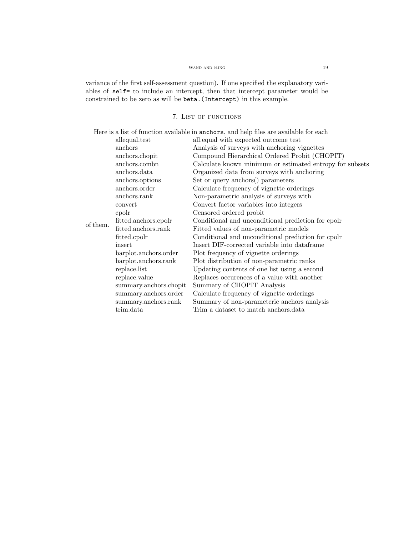# WAND AND KING  $\hfill 19$

variance of the first self-assessment question). If one specified the explanatory variables of self= to include an intercept, then that intercept parameter would be constrained to be zero as will be beta.(Intercept) in this example.

# 7. LIST OF FUNCTIONS

|          |                        | Here is a list of function available in anchors, and help files are available for each |
|----------|------------------------|----------------------------------------------------------------------------------------|
|          | allequal.test          | all.equal with expected outcome test                                                   |
|          | anchors                | Analysis of surveys with anchoring vignettes                                           |
|          | anchors.chopit         | Compound Hierarchical Ordered Probit (CHOPIT)                                          |
|          | anchors.combn          | Calculate known minimum or estimated entropy for subsets                               |
|          | anchors.data           | Organized data from surveys with anchoring                                             |
|          | anchors.options        | Set or query anchors() parameters                                                      |
|          | anchors.order          | Calculate frequency of vignette orderings                                              |
|          | anchors.rank           | Non-parametric analysis of surveys with                                                |
|          | convert                | Convert factor variables into integers                                                 |
|          | cpolr                  | Censored ordered probit                                                                |
| of them. | fitted.anchors.cpolr   | Conditional and unconditional prediction for cpolr                                     |
|          | fitted.anchors.rank    | Fitted values of non-parametric models                                                 |
|          | fitted.cpolr           | Conditional and unconditional prediction for cpole                                     |
|          | insert                 | Insert DIF-corrected variable into data frame                                          |
|          | barplot.anchors.order  | Plot frequency of vignette orderings                                                   |
|          | barplot.anchors.rank   | Plot distribution of non-parametric ranks                                              |
|          | replace.list           | Updating contents of one list using a second                                           |
|          | replace.value          | Replaces occurences of a value with another                                            |
|          | summary.anchors.chopit | Summary of CHOPIT Analysis                                                             |
|          | summary.anchors.order  | Calculate frequency of vignette orderings                                              |
|          | summary.anchors.rank   | Summary of non-parameteric anchors analysis                                            |
|          | trim.data              | Trim a dataset to match anchors.data                                                   |
|          |                        |                                                                                        |